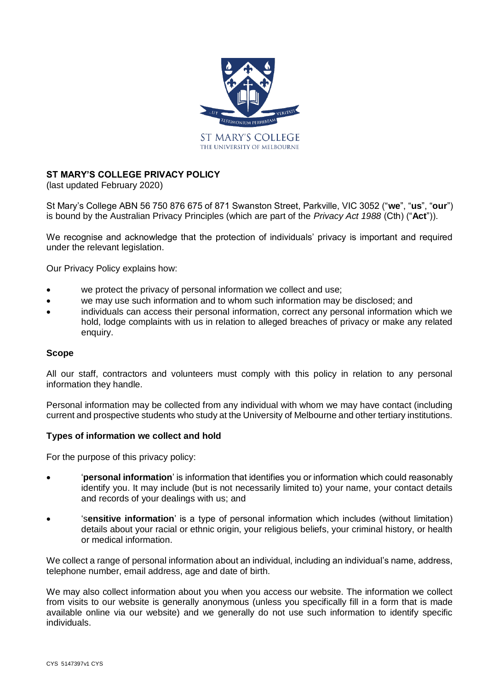

# **ST MARY'S COLLEGE PRIVACY POLICY**

(last updated February 2020)

St Mary's College ABN 56 750 876 675 of 871 Swanston Street, Parkville, VIC 3052 ("**we**", "**us**", "**our**") is bound by the Australian Privacy Principles (which are part of the *Privacy Act 1988* (Cth) ("**Act**")).

We recognise and acknowledge that the protection of individuals' privacy is important and required under the relevant legislation.

Our Privacy Policy explains how:

- we protect the privacy of personal information we collect and use;
- we may use such information and to whom such information may be disclosed; and
- individuals can access their personal information, correct any personal information which we hold, lodge complaints with us in relation to alleged breaches of privacy or make any related enquiry.

#### **Scope**

All our staff, contractors and volunteers must comply with this policy in relation to any personal information they handle.

Personal information may be collected from any individual with whom we may have contact (including current and prospective students who study at the University of Melbourne and other tertiary institutions.

#### **Types of information we collect and hold**

For the purpose of this privacy policy:

- '**personal information**' is information that identifies you or information which could reasonably identify you. It may include (but is not necessarily limited to) your name, your contact details and records of your dealings with us; and
- 's**ensitive information**' is a type of personal information which includes (without limitation) details about your racial or ethnic origin, your religious beliefs, your criminal history, or health or medical information.

We collect a range of personal information about an individual, including an individual's name, address, telephone number, email address, age and date of birth.

We may also collect information about you when you access our website. The information we collect from visits to our website is generally anonymous (unless you specifically fill in a form that is made available online via our website) and we generally do not use such information to identify specific individuals.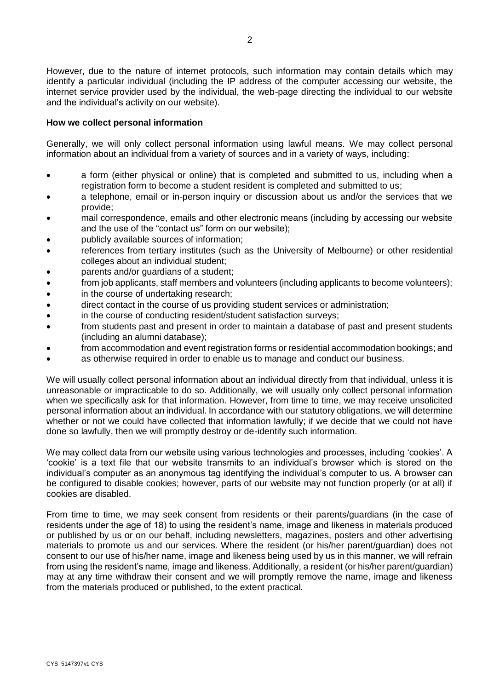However, due to the nature of internet protocols, such information may contain details which may identify a particular individual (including the IP address of the computer accessing our website, the internet service provider used by the individual, the web-page directing the individual to our website and the individual's activity on our website).

#### **How we collect personal information**

Generally, we will only collect personal information using lawful means. We may collect personal information about an individual from a variety of sources and in a variety of ways, including:

- a form (either physical or online) that is completed and submitted to us, including when a registration form to become a student resident is completed and submitted to us;
- a telephone, email or in-person inquiry or discussion about us and/or the services that we provide;
- mail correspondence, emails and other electronic means (including by accessing our website and the use of the "contact us" form on our website);
- publicly available sources of information;
- references from tertiary institutes (such as the University of Melbourne) or other residential colleges about an individual student;
- parents and/or quardians of a student:
- from job applicants, staff members and volunteers (including applicants to become volunteers);
- in the course of undertaking research;
- direct contact in the course of us providing student services or administration;
- in the course of conducting resident/student satisfaction surveys;
- from students past and present in order to maintain a database of past and present students (including an alumni database);
- from accommodation and event registration forms or residential accommodation bookings; and
- as otherwise required in order to enable us to manage and conduct our business.

We will usually collect personal information about an individual directly from that individual, unless it is unreasonable or impracticable to do so. Additionally, we will usually only collect personal information when we specifically ask for that information. However, from time to time, we may receive unsolicited personal information about an individual. In accordance with our statutory obligations, we will determine whether or not we could have collected that information lawfully; if we decide that we could not have done so lawfully, then we will promptly destroy or de-identify such information.

We may collect data from our website using various technologies and processes, including 'cookies'. A 'cookie' is a text file that our website transmits to an individual's browser which is stored on the individual's computer as an anonymous tag identifying the individual's computer to us. A browser can be configured to disable cookies; however, parts of our website may not function properly (or at all) if cookies are disabled.

From time to time, we may seek consent from residents or their parents/guardians (in the case of residents under the age of 18) to using the resident's name, image and likeness in materials produced or published by us or on our behalf, including newsletters, magazines, posters and other advertising materials to promote us and our services. Where the resident (or his/her parent/guardian) does not consent to our use of his/her name, image and likeness being used by us in this manner, we will refrain from using the resident's name, image and likeness. Additionally, a resident (or his/her parent/guardian) may at any time withdraw their consent and we will promptly remove the name, image and likeness from the materials produced or published, to the extent practical.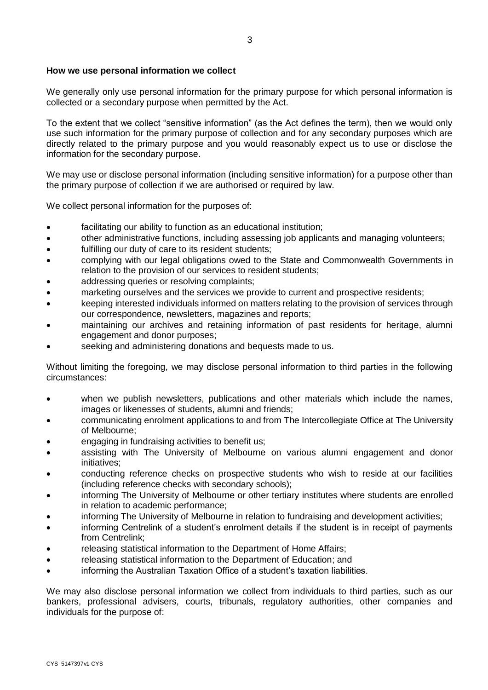# **How we use personal information we collect**

We generally only use personal information for the primary purpose for which personal information is collected or a secondary purpose when permitted by the Act.

To the extent that we collect "sensitive information" (as the Act defines the term), then we would only use such information for the primary purpose of collection and for any secondary purposes which are directly related to the primary purpose and you would reasonably expect us to use or disclose the information for the secondary purpose.

We may use or disclose personal information (including sensitive information) for a purpose other than the primary purpose of collection if we are authorised or required by law.

We collect personal information for the purposes of:

- facilitating our ability to function as an educational institution;
- other administrative functions, including assessing job applicants and managing volunteers;
- fulfilling our duty of care to its resident students;
- complying with our legal obligations owed to the State and Commonwealth Governments in relation to the provision of our services to resident students;
- addressing queries or resolving complaints;
- marketing ourselves and the services we provide to current and prospective residents;
- keeping interested individuals informed on matters relating to the provision of services through our correspondence, newsletters, magazines and reports;
- maintaining our archives and retaining information of past residents for heritage, alumni engagement and donor purposes;
- seeking and administering donations and bequests made to us.

Without limiting the foregoing, we may disclose personal information to third parties in the following circumstances:

- when we publish newsletters, publications and other materials which include the names, images or likenesses of students, alumni and friends;
- communicating enrolment applications to and from The Intercollegiate Office at The University of Melbourne;
- engaging in fundraising activities to benefit us;
- assisting with The University of Melbourne on various alumni engagement and donor initiatives;
- conducting reference checks on prospective students who wish to reside at our facilities (including reference checks with secondary schools);
- informing The University of Melbourne or other tertiary institutes where students are enrolled in relation to academic performance;
- informing The University of Melbourne in relation to fundraising and development activities;
- informing Centrelink of a student's enrolment details if the student is in receipt of payments from Centrelink;
- releasing statistical information to the Department of Home Affairs;
- releasing statistical information to the Department of Education; and
- informing the Australian Taxation Office of a student's taxation liabilities.

We may also disclose personal information we collect from individuals to third parties, such as our bankers, professional advisers, courts, tribunals, regulatory authorities, other companies and individuals for the purpose of: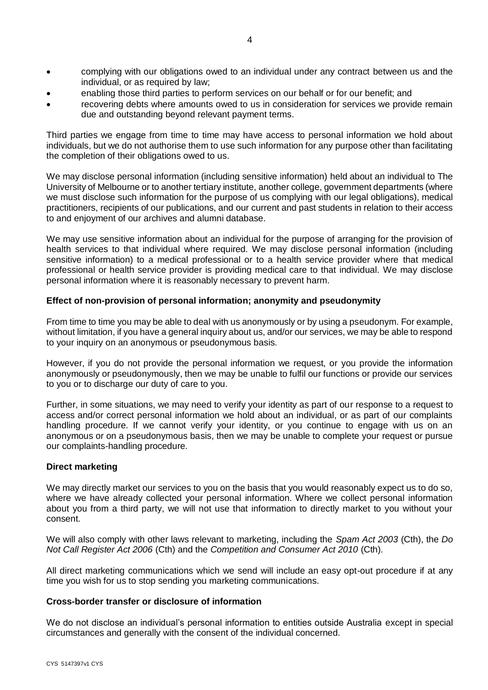- complying with our obligations owed to an individual under any contract between us and the individual, or as required by law;
- enabling those third parties to perform services on our behalf or for our benefit; and
- recovering debts where amounts owed to us in consideration for services we provide remain due and outstanding beyond relevant payment terms.

Third parties we engage from time to time may have access to personal information we hold about individuals, but we do not authorise them to use such information for any purpose other than facilitating the completion of their obligations owed to us.

We may disclose personal information (including sensitive information) held about an individual to The University of Melbourne or to another tertiary institute, another college, government departments (where we must disclose such information for the purpose of us complying with our legal obligations), medical practitioners, recipients of our publications, and our current and past students in relation to their access to and enjoyment of our archives and alumni database.

We may use sensitive information about an individual for the purpose of arranging for the provision of health services to that individual where required. We may disclose personal information (including sensitive information) to a medical professional or to a health service provider where that medical professional or health service provider is providing medical care to that individual. We may disclose personal information where it is reasonably necessary to prevent harm.

# **Effect of non-provision of personal information; anonymity and pseudonymity**

From time to time you may be able to deal with us anonymously or by using a pseudonym. For example, without limitation, if you have a general inquiry about us, and/or our services, we may be able to respond to your inquiry on an anonymous or pseudonymous basis.

However, if you do not provide the personal information we request, or you provide the information anonymously or pseudonymously, then we may be unable to fulfil our functions or provide our services to you or to discharge our duty of care to you.

Further, in some situations, we may need to verify your identity as part of our response to a request to access and/or correct personal information we hold about an individual, or as part of our complaints handling procedure. If we cannot verify your identity, or you continue to engage with us on an anonymous or on a pseudonymous basis, then we may be unable to complete your request or pursue our complaints-handling procedure.

#### **Direct marketing**

We may directly market our services to you on the basis that you would reasonably expect us to do so, where we have already collected your personal information. Where we collect personal information about you from a third party, we will not use that information to directly market to you without your consent.

We will also comply with other laws relevant to marketing, including the *Spam Act 2003* (Cth), the *Do Not Call Register Act 2006* (Cth) and the *Competition and Consumer Act 2010* (Cth).

All direct marketing communications which we send will include an easy opt-out procedure if at any time you wish for us to stop sending you marketing communications.

#### **Cross-border transfer or disclosure of information**

We do not disclose an individual's personal information to entities outside Australia except in special circumstances and generally with the consent of the individual concerned.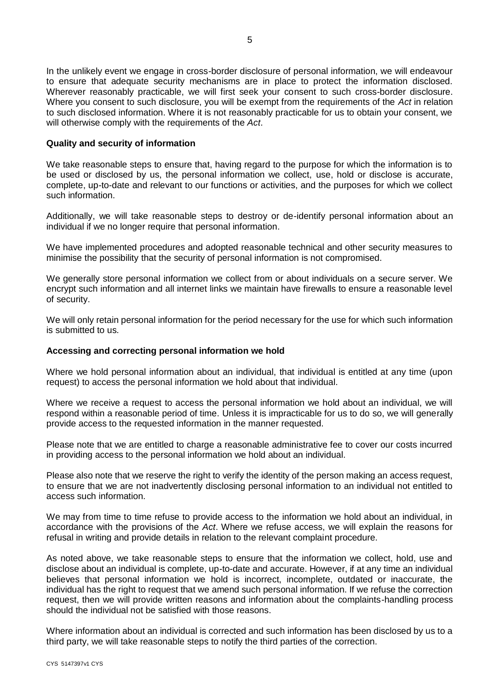In the unlikely event we engage in cross-border disclosure of personal information, we will endeavour to ensure that adequate security mechanisms are in place to protect the information disclosed. Wherever reasonably practicable, we will first seek your consent to such cross-border disclosure. Where you consent to such disclosure, you will be exempt from the requirements of the *Act* in relation to such disclosed information. Where it is not reasonably practicable for us to obtain your consent, we will otherwise comply with the requirements of the *Act*.

#### **Quality and security of information**

We take reasonable steps to ensure that, having regard to the purpose for which the information is to be used or disclosed by us, the personal information we collect, use, hold or disclose is accurate, complete, up-to-date and relevant to our functions or activities, and the purposes for which we collect such information.

Additionally, we will take reasonable steps to destroy or de-identify personal information about an individual if we no longer require that personal information.

We have implemented procedures and adopted reasonable technical and other security measures to minimise the possibility that the security of personal information is not compromised.

We generally store personal information we collect from or about individuals on a secure server. We encrypt such information and all internet links we maintain have firewalls to ensure a reasonable level of security.

We will only retain personal information for the period necessary for the use for which such information is submitted to us.

#### **Accessing and correcting personal information we hold**

Where we hold personal information about an individual, that individual is entitled at any time (upon request) to access the personal information we hold about that individual.

Where we receive a request to access the personal information we hold about an individual, we will respond within a reasonable period of time. Unless it is impracticable for us to do so, we will generally provide access to the requested information in the manner requested.

Please note that we are entitled to charge a reasonable administrative fee to cover our costs incurred in providing access to the personal information we hold about an individual.

Please also note that we reserve the right to verify the identity of the person making an access request, to ensure that we are not inadvertently disclosing personal information to an individual not entitled to access such information.

We may from time to time refuse to provide access to the information we hold about an individual, in accordance with the provisions of the *Act*. Where we refuse access, we will explain the reasons for refusal in writing and provide details in relation to the relevant complaint procedure.

As noted above, we take reasonable steps to ensure that the information we collect, hold, use and disclose about an individual is complete, up-to-date and accurate. However, if at any time an individual believes that personal information we hold is incorrect, incomplete, outdated or inaccurate, the individual has the right to request that we amend such personal information. If we refuse the correction request, then we will provide written reasons and information about the complaints-handling process should the individual not be satisfied with those reasons.

Where information about an individual is corrected and such information has been disclosed by us to a third party, we will take reasonable steps to notify the third parties of the correction.